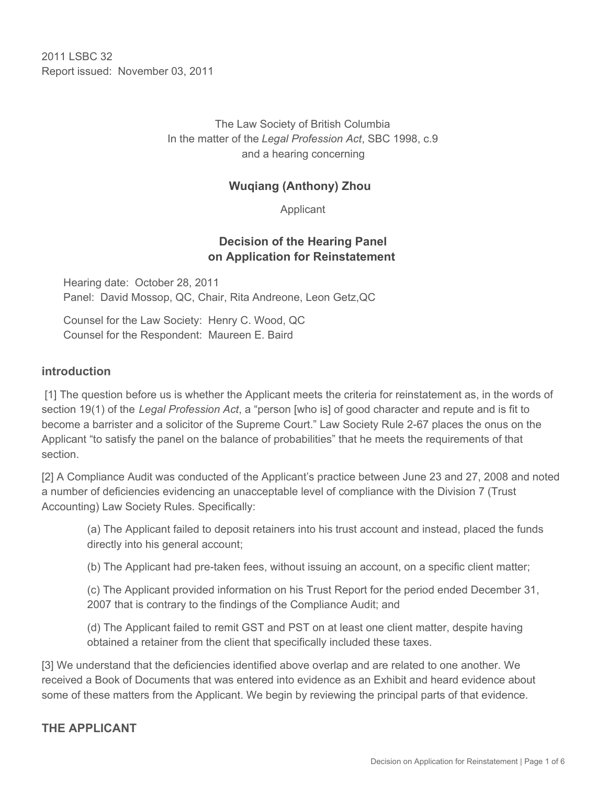2011 I SBC 32 Report issued: November 03, 2011

> The Law Society of British Columbia In the matter of the *Legal Profession Act*, SBC 1998, c.9 and a hearing concerning

### **Wuqiang (Anthony) Zhou**

Applicant

#### **Decision of the Hearing Panel on Application for Reinstatement**

Hearing date: October 28, 2011 Panel: David Mossop, QC, Chair, Rita Andreone, Leon Getz,QC

Counsel for the Law Society: Henry C. Wood, QC Counsel for the Respondent: Maureen E. Baird

#### **introduction**

 [1] The question before us is whether the Applicant meets the criteria for reinstatement as, in the words of section 19(1) of the *Legal Profession Act*, a "person [who is] of good character and repute and is fit to become a barrister and a solicitor of the Supreme Court." Law Society Rule 2-67 places the onus on the Applicant "to satisfy the panel on the balance of probabilities" that he meets the requirements of that section.

[2] A Compliance Audit was conducted of the Applicant's practice between June 23 and 27, 2008 and noted a number of deficiencies evidencing an unacceptable level of compliance with the Division 7 (Trust Accounting) Law Society Rules. Specifically:

(a) The Applicant failed to deposit retainers into his trust account and instead, placed the funds directly into his general account;

(b) The Applicant had pre-taken fees, without issuing an account, on a specific client matter;

(c) The Applicant provided information on his Trust Report for the period ended December 31, 2007 that is contrary to the findings of the Compliance Audit; and

(d) The Applicant failed to remit GST and PST on at least one client matter, despite having obtained a retainer from the client that specifically included these taxes.

[3] We understand that the deficiencies identified above overlap and are related to one another. We received a Book of Documents that was entered into evidence as an Exhibit and heard evidence about some of these matters from the Applicant. We begin by reviewing the principal parts of that evidence.

#### **THE APPLICANT**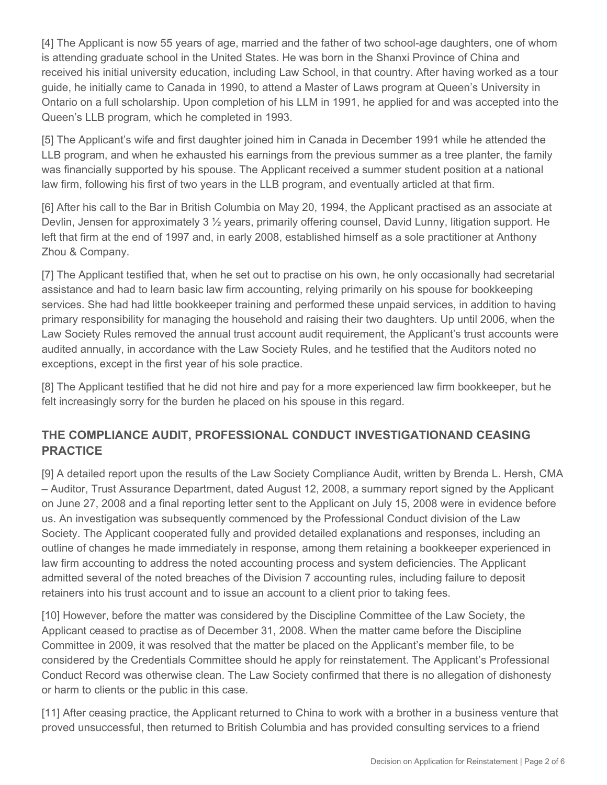[4] The Applicant is now 55 years of age, married and the father of two school-age daughters, one of whom is attending graduate school in the United States. He was born in the Shanxi Province of China and received his initial university education, including Law School, in that country. After having worked as a tour guide, he initially came to Canada in 1990, to attend a Master of Laws program at Queen's University in Ontario on a full scholarship. Upon completion of his LLM in 1991, he applied for and was accepted into the Queen's LLB program, which he completed in 1993.

[5] The Applicant's wife and first daughter joined him in Canada in December 1991 while he attended the LLB program, and when he exhausted his earnings from the previous summer as a tree planter, the family was financially supported by his spouse. The Applicant received a summer student position at a national law firm, following his first of two years in the LLB program, and eventually articled at that firm.

[6] After his call to the Bar in British Columbia on May 20, 1994, the Applicant practised as an associate at Devlin, Jensen for approximately 3 ½ years, primarily offering counsel, David Lunny, litigation support. He left that firm at the end of 1997 and, in early 2008, established himself as a sole practitioner at Anthony Zhou & Company.

[7] The Applicant testified that, when he set out to practise on his own, he only occasionally had secretarial assistance and had to learn basic law firm accounting, relying primarily on his spouse for bookkeeping services. She had had little bookkeeper training and performed these unpaid services, in addition to having primary responsibility for managing the household and raising their two daughters. Up until 2006, when the Law Society Rules removed the annual trust account audit requirement, the Applicant's trust accounts were audited annually, in accordance with the Law Society Rules, and he testified that the Auditors noted no exceptions, except in the first year of his sole practice.

[8] The Applicant testified that he did not hire and pay for a more experienced law firm bookkeeper, but he felt increasingly sorry for the burden he placed on his spouse in this regard.

# **THE COMPLIANCE AUDIT, PROFESSIONAL CONDUCT INVESTIGATIONAND CEASING PRACTICE**

[9] A detailed report upon the results of the Law Society Compliance Audit, written by Brenda L. Hersh, CMA – Auditor, Trust Assurance Department, dated August 12, 2008, a summary report signed by the Applicant on June 27, 2008 and a final reporting letter sent to the Applicant on July 15, 2008 were in evidence before us. An investigation was subsequently commenced by the Professional Conduct division of the Law Society. The Applicant cooperated fully and provided detailed explanations and responses, including an outline of changes he made immediately in response, among them retaining a bookkeeper experienced in law firm accounting to address the noted accounting process and system deficiencies. The Applicant admitted several of the noted breaches of the Division 7 accounting rules, including failure to deposit retainers into his trust account and to issue an account to a client prior to taking fees.

[10] However, before the matter was considered by the Discipline Committee of the Law Society, the Applicant ceased to practise as of December 31, 2008. When the matter came before the Discipline Committee in 2009, it was resolved that the matter be placed on the Applicant's member file, to be considered by the Credentials Committee should he apply for reinstatement. The Applicant's Professional Conduct Record was otherwise clean. The Law Society confirmed that there is no allegation of dishonesty or harm to clients or the public in this case.

[11] After ceasing practice, the Applicant returned to China to work with a brother in a business venture that proved unsuccessful, then returned to British Columbia and has provided consulting services to a friend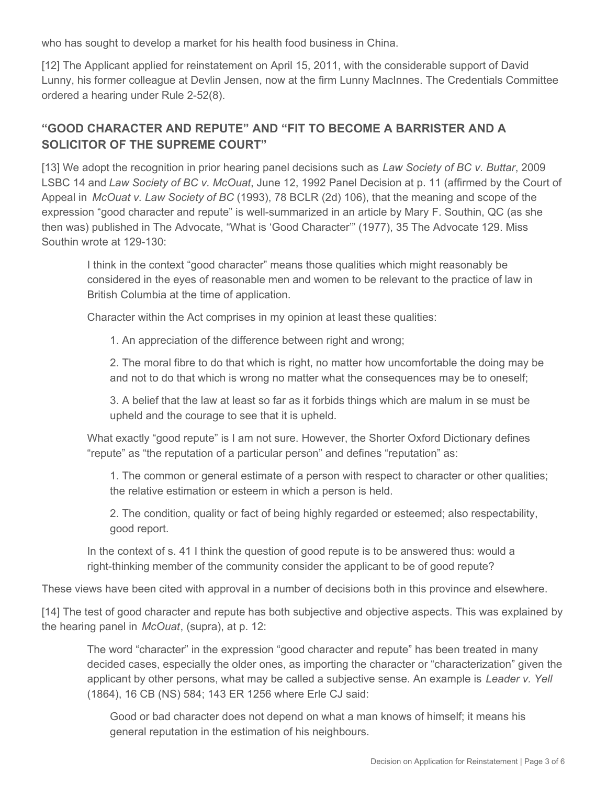who has sought to develop a market for his health food business in China.

[12] The Applicant applied for reinstatement on April 15, 2011, with the considerable support of David Lunny, his former colleague at Devlin Jensen, now at the firm Lunny MacInnes. The Credentials Committee ordered a hearing under Rule 2-52(8).

# **"GOOD CHARACTER AND REPUTE" AND "FIT TO BECOME A BARRISTER AND A SOLICITOR OF THE SUPREME COURT"**

[13] We adopt the recognition in prior hearing panel decisions such as *Law Society of BC v. Buttar*, 2009 LSBC 14 and *Law Society of BC v. McOuat*, June 12, 1992 Panel Decision at p. 11 (affirmed by the Court of Appeal in *McOuat v. Law Society of BC* (1993), 78 BCLR (2d) 106), that the meaning and scope of the expression "good character and repute" is well-summarized in an article by Mary F. Southin, QC (as she then was) published in The Advocate, "What is 'Good Character'" (1977), 35 The Advocate 129. Miss Southin wrote at 129-130:

I think in the context "good character" means those qualities which might reasonably be considered in the eyes of reasonable men and women to be relevant to the practice of law in British Columbia at the time of application.

Character within the Act comprises in my opinion at least these qualities:

1. An appreciation of the difference between right and wrong;

2. The moral fibre to do that which is right, no matter how uncomfortable the doing may be and not to do that which is wrong no matter what the consequences may be to oneself;

3. A belief that the law at least so far as it forbids things which are malum in se must be upheld and the courage to see that it is upheld.

What exactly "good repute" is I am not sure. However, the Shorter Oxford Dictionary defines "repute" as "the reputation of a particular person" and defines "reputation" as:

1. The common or general estimate of a person with respect to character or other qualities; the relative estimation or esteem in which a person is held.

2. The condition, quality or fact of being highly regarded or esteemed; also respectability, good report.

In the context of s. 41 I think the question of good repute is to be answered thus: would a right-thinking member of the community consider the applicant to be of good repute?

These views have been cited with approval in a number of decisions both in this province and elsewhere.

[14] The test of good character and repute has both subjective and objective aspects. This was explained by the hearing panel in *McOuat*, (supra), at p. 12:

The word "character" in the expression "good character and repute" has been treated in many decided cases, especially the older ones, as importing the character or "characterization" given the applicant by other persons, what may be called a subjective sense. An example is *Leader v. Yell*  (1864), 16 CB (NS) 584; 143 ER 1256 where Erle CJ said:

Good or bad character does not depend on what a man knows of himself; it means his general reputation in the estimation of his neighbours.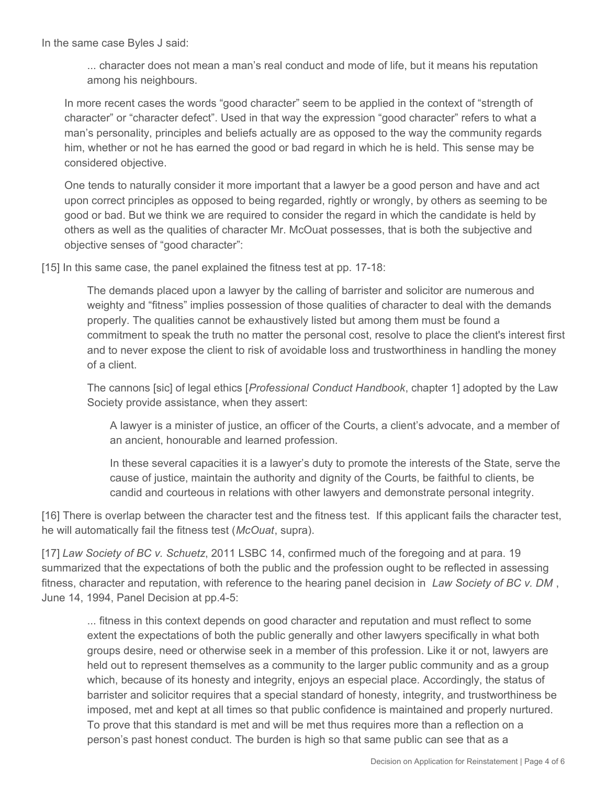In the same case Byles J said:

... character does not mean a man's real conduct and mode of life, but it means his reputation among his neighbours.

In more recent cases the words "good character" seem to be applied in the context of "strength of character" or "character defect". Used in that way the expression "good character" refers to what a man's personality, principles and beliefs actually are as opposed to the way the community regards him, whether or not he has earned the good or bad regard in which he is held. This sense may be considered objective.

One tends to naturally consider it more important that a lawyer be a good person and have and act upon correct principles as opposed to being regarded, rightly or wrongly, by others as seeming to be good or bad. But we think we are required to consider the regard in which the candidate is held by others as well as the qualities of character Mr. McOuat possesses, that is both the subjective and objective senses of "good character":

[15] In this same case, the panel explained the fitness test at pp. 17-18:

The demands placed upon a lawyer by the calling of barrister and solicitor are numerous and weighty and "fitness" implies possession of those qualities of character to deal with the demands properly. The qualities cannot be exhaustively listed but among them must be found a commitment to speak the truth no matter the personal cost, resolve to place the client's interest first and to never expose the client to risk of avoidable loss and trustworthiness in handling the money of a client.

The cannons [sic] of legal ethics [*Professional Conduct Handbook*, chapter 1] adopted by the Law Society provide assistance, when they assert:

A lawyer is a minister of justice, an officer of the Courts, a client's advocate, and a member of an ancient, honourable and learned profession.

In these several capacities it is a lawyer's duty to promote the interests of the State, serve the cause of justice, maintain the authority and dignity of the Courts, be faithful to clients, be candid and courteous in relations with other lawyers and demonstrate personal integrity.

[16] There is overlap between the character test and the fitness test. If this applicant fails the character test, he will automatically fail the fitness test (*McOuat*, supra).

[17] *Law Society of BC v. Schuetz*, 2011 LSBC 14, confirmed much of the foregoing and at para. 19 summarized that the expectations of both the public and the profession ought to be reflected in assessing fitness, character and reputation, with reference to the hearing panel decision in *Law Society of BC v. DM* , June 14, 1994, Panel Decision at pp.4-5:

... fitness in this context depends on good character and reputation and must reflect to some extent the expectations of both the public generally and other lawyers specifically in what both groups desire, need or otherwise seek in a member of this profession. Like it or not, lawyers are held out to represent themselves as a community to the larger public community and as a group which, because of its honesty and integrity, enjoys an especial place. Accordingly, the status of barrister and solicitor requires that a special standard of honesty, integrity, and trustworthiness be imposed, met and kept at all times so that public confidence is maintained and properly nurtured. To prove that this standard is met and will be met thus requires more than a reflection on a person's past honest conduct. The burden is high so that same public can see that as a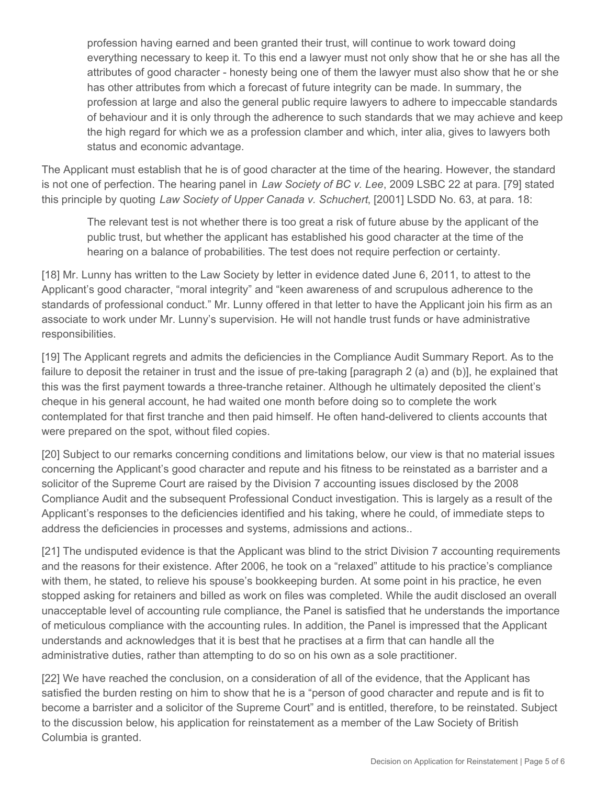profession having earned and been granted their trust, will continue to work toward doing everything necessary to keep it. To this end a lawyer must not only show that he or she has all the attributes of good character - honesty being one of them the lawyer must also show that he or she has other attributes from which a forecast of future integrity can be made. In summary, the profession at large and also the general public require lawyers to adhere to impeccable standards of behaviour and it is only through the adherence to such standards that we may achieve and keep the high regard for which we as a profession clamber and which, inter alia, gives to lawyers both status and economic advantage.

The Applicant must establish that he is of good character at the time of the hearing. However, the standard is not one of perfection. The hearing panel in *Law Society of BC v. Lee*, 2009 LSBC 22 at para. [79] stated this principle by quoting *Law Society of Upper Canada v. Schuchert*, [2001] LSDD No. 63, at para. 18:

The relevant test is not whether there is too great a risk of future abuse by the applicant of the public trust, but whether the applicant has established his good character at the time of the hearing on a balance of probabilities. The test does not require perfection or certainty.

[18] Mr. Lunny has written to the Law Society by letter in evidence dated June 6, 2011, to attest to the Applicant's good character, "moral integrity" and "keen awareness of and scrupulous adherence to the standards of professional conduct." Mr. Lunny offered in that letter to have the Applicant join his firm as an associate to work under Mr. Lunny's supervision. He will not handle trust funds or have administrative responsibilities.

[19] The Applicant regrets and admits the deficiencies in the Compliance Audit Summary Report. As to the failure to deposit the retainer in trust and the issue of pre-taking [paragraph 2 (a) and (b)], he explained that this was the first payment towards a three-tranche retainer. Although he ultimately deposited the client's cheque in his general account, he had waited one month before doing so to complete the work contemplated for that first tranche and then paid himself. He often hand-delivered to clients accounts that were prepared on the spot, without filed copies.

[20] Subject to our remarks concerning conditions and limitations below, our view is that no material issues concerning the Applicant's good character and repute and his fitness to be reinstated as a barrister and a solicitor of the Supreme Court are raised by the Division 7 accounting issues disclosed by the 2008 Compliance Audit and the subsequent Professional Conduct investigation. This is largely as a result of the Applicant's responses to the deficiencies identified and his taking, where he could, of immediate steps to address the deficiencies in processes and systems, admissions and actions..

[21] The undisputed evidence is that the Applicant was blind to the strict Division 7 accounting requirements and the reasons for their existence. After 2006, he took on a "relaxed" attitude to his practice's compliance with them, he stated, to relieve his spouse's bookkeeping burden. At some point in his practice, he even stopped asking for retainers and billed as work on files was completed. While the audit disclosed an overall unacceptable level of accounting rule compliance, the Panel is satisfied that he understands the importance of meticulous compliance with the accounting rules. In addition, the Panel is impressed that the Applicant understands and acknowledges that it is best that he practises at a firm that can handle all the administrative duties, rather than attempting to do so on his own as a sole practitioner.

[22] We have reached the conclusion, on a consideration of all of the evidence, that the Applicant has satisfied the burden resting on him to show that he is a "person of good character and repute and is fit to become a barrister and a solicitor of the Supreme Court" and is entitled, therefore, to be reinstated. Subject to the discussion below, his application for reinstatement as a member of the Law Society of British Columbia is granted.